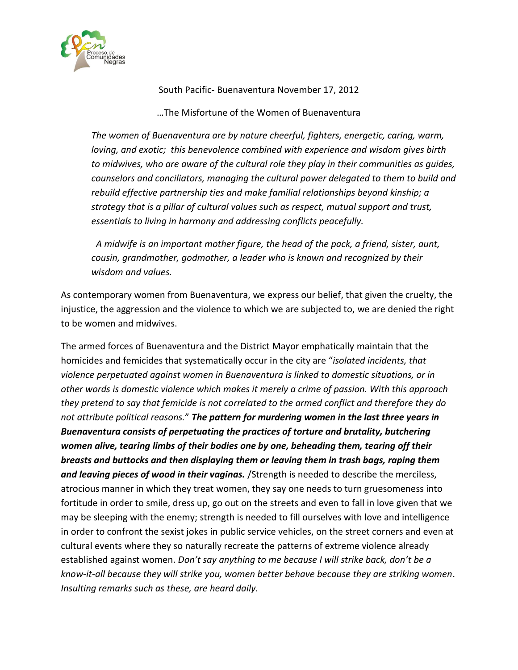

South Pacific- Buenaventura November 17, 2012

…The Misfortune of the Women of Buenaventura

*The women of Buenaventura are by nature cheerful, fighters, energetic, caring, warm, loving, and exotic; this benevolence combined with experience and wisdom gives birth to midwives, who are aware of the cultural role they play in their communities as guides, counselors and conciliators, managing the cultural power delegated to them to build and rebuild effective partnership ties and make familial relationships beyond kinship; a strategy that is a pillar of cultural values such as respect, mutual support and trust, essentials to living in harmony and addressing conflicts peacefully.* 

 *A midwife is an important mother figure, the head of the pack, a friend, sister, aunt, cousin, grandmother, godmother, a leader who is known and recognized by their wisdom and values.* 

As contemporary women from Buenaventura, we express our belief, that given the cruelty, the injustice, the aggression and the violence to which we are subjected to, we are denied the right to be women and midwives.

The armed forces of Buenaventura and the District Mayor emphatically maintain that the homicides and femicides that systematically occur in the city are "*isolated incidents, that violence perpetuated against women in Buenaventura is linked to domestic situations, or in other words is domestic violence which makes it merely a crime of passion. With this approach they pretend to say that femicide is not correlated to the armed conflict and therefore they do not attribute political reasons.*" *The pattern for murdering women in the last three years in Buenaventura consists of perpetuating the practices of torture and brutality, butchering women alive, tearing limbs of their bodies one by one, beheading them, tearing off their breasts and buttocks and then displaying them or leaving them in trash bags, raping them and leaving pieces of wood in their vaginas.* /Strength is needed to describe the merciless, atrocious manner in which they treat women, they say one needs to turn gruesomeness into fortitude in order to smile, dress up, go out on the streets and even to fall in love given that we may be sleeping with the enemy; strength is needed to fill ourselves with love and intelligence in order to confront the sexist jokes in public service vehicles, on the street corners and even at cultural events where they so naturally recreate the patterns of extreme violence already established against women. *Don't say anything to me because I will strike back, don't be a know-it-all because they will strike you, women better behave because they are striking women*. *Insulting remarks such as these, are heard daily.*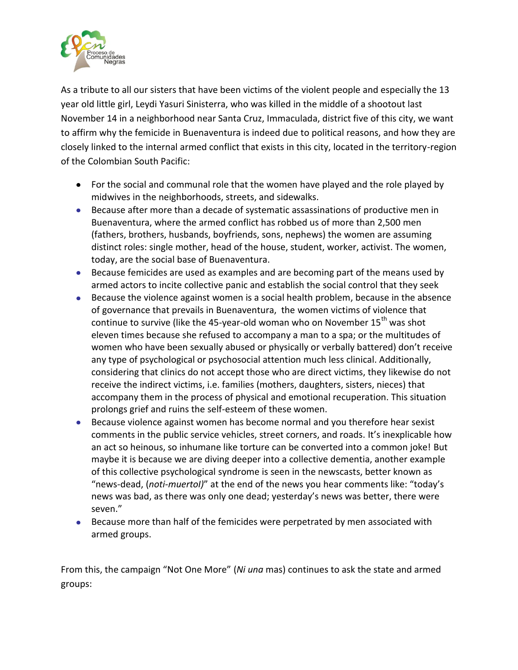

As a tribute to all our sisters that have been victims of the violent people and especially the 13 year old little girl, Leydi Yasuri Sinisterra, who was killed in the middle of a shootout last November 14 in a neighborhood near Santa Cruz, Immaculada, district five of this city, we want to affirm why the femicide in Buenaventura is indeed due to political reasons, and how they are closely linked to the internal armed conflict that exists in this city, located in the territory-region of the Colombian South Pacific:

- For the social and communal role that the women have played and the role played by midwives in the neighborhoods, streets, and sidewalks.
- Because after more than a decade of systematic assassinations of productive men in Buenaventura, where the armed conflict has robbed us of more than 2,500 men (fathers, brothers, husbands, boyfriends, sons, nephews) the women are assuming distinct roles: single mother, head of the house, student, worker, activist. The women, today, are the social base of Buenaventura.
- Because femicides are used as examples and are becoming part of the means used by armed actors to incite collective panic and establish the social control that they seek
- Because the violence against women is a social health problem, because in the absence of governance that prevails in Buenaventura, the women victims of violence that continue to survive (like the 45-year-old woman who on November  $15<sup>th</sup>$  was shot eleven times because she refused to accompany a man to a spa; or the multitudes of women who have been sexually abused or physically or verbally battered) don't receive any type of psychological or psychosocial attention much less clinical. Additionally, considering that clinics do not accept those who are direct victims, they likewise do not receive the indirect victims, i.e. families (mothers, daughters, sisters, nieces) that accompany them in the process of physical and emotional recuperation. This situation prolongs grief and ruins the self-esteem of these women.
- Because violence against women has become normal and you therefore hear sexist comments in the public service vehicles, street corners, and roads. It's inexplicable how an act so heinous, so inhumane like torture can be converted into a common joke! But maybe it is because we are diving deeper into a collective dementia, another example of this collective psychological syndrome is seen in the newscasts, better known as "news-dead, (*noti-muertoI)*" at the end of the news you hear comments like: "today's news was bad, as there was only one dead; yesterday's news was better, there were seven."
- Because more than half of the femicides were perpetrated by men associated with armed groups.

From this, the campaign "Not One More" (*Ni una* mas) continues to ask the state and armed groups: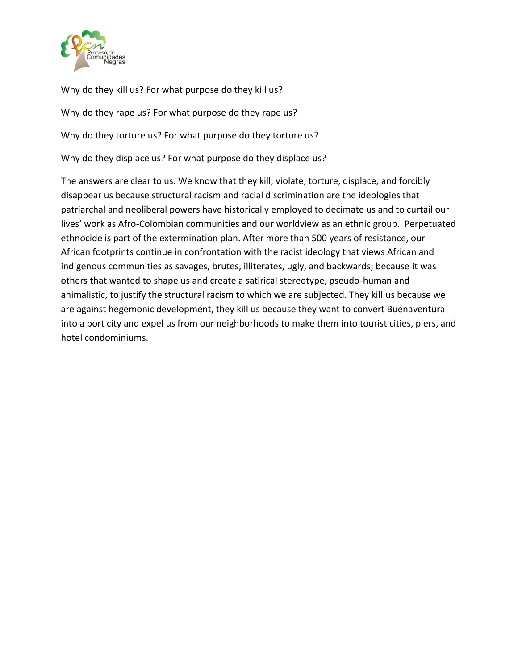

Why do they kill us? For what purpose do they kill us?

Why do they rape us? For what purpose do they rape us?

Why do they torture us? For what purpose do they torture us?

Why do they displace us? For what purpose do they displace us?

The answers are clear to us. We know that they kill, violate, torture, displace, and forcibly disappear us because structural racism and racial discrimination are the ideologies that patriarchal and neoliberal powers have historically employed to decimate us and to curtail our lives' work as Afro-Colombian communities and our worldview as an ethnic group. Perpetuated ethnocide is part of the extermination plan. After more than 500 years of resistance, our African footprints continue in confrontation with the racist ideology that views African and indigenous communities as savages, brutes, illiterates, ugly, and backwards; because it was others that wanted to shape us and create a satirical stereotype, pseudo-human and animalistic, to justify the structural racism to which we are subjected. They kill us because we are against hegemonic development, they kill us because they want to convert Buenaventura into a port city and expel us from our neighborhoods to make them into tourist cities, piers, and hotel condominiums.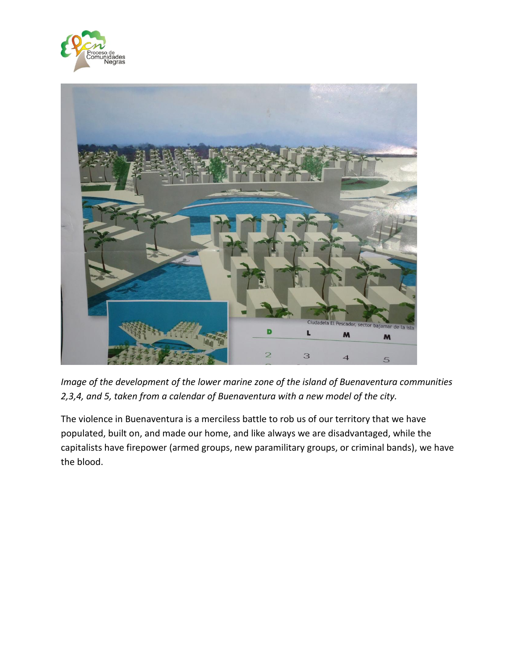



*Image of the development of the lower marine zone of the island of Buenaventura communities 2,3,4, and 5, taken from a calendar of Buenaventura with a new model of the city.*

The violence in Buenaventura is a merciless battle to rob us of our territory that we have populated, built on, and made our home, and like always we are disadvantaged, while the capitalists have firepower (armed groups, new paramilitary groups, or criminal bands), we have the blood.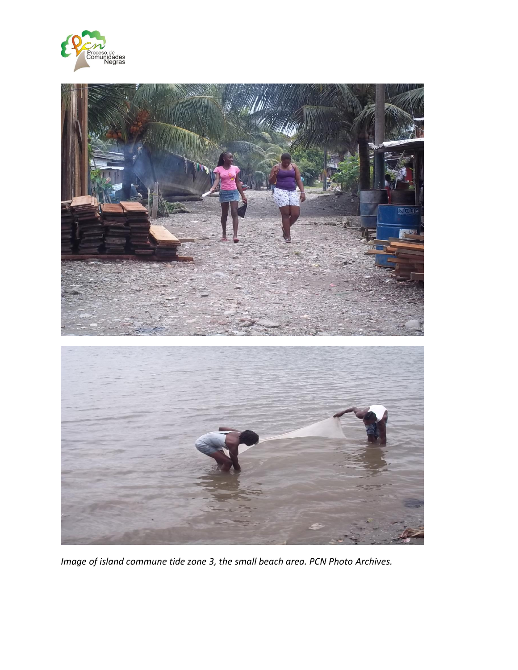



*Image of island commune tide zone 3, the small beach area. PCN Photo Archives.*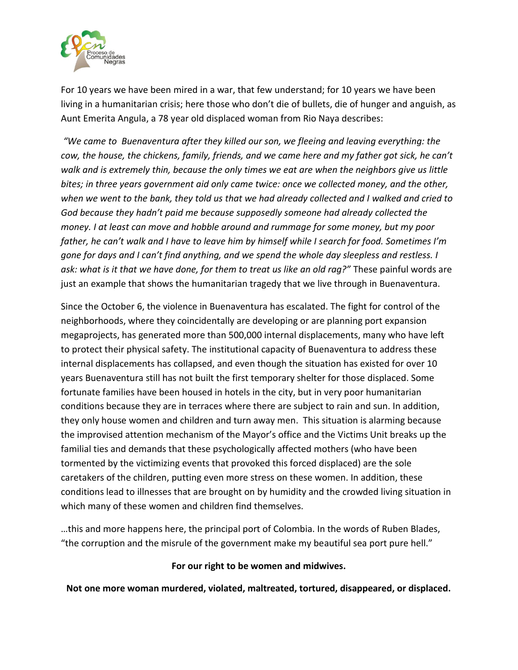

For 10 years we have been mired in a war, that few understand; for 10 years we have been living in a humanitarian crisis; here those who don't die of bullets, die of hunger and anguish, as Aunt Emerita Angula, a 78 year old displaced woman from Rio Naya describes:

*"We came to Buenaventura after they killed our son, we fleeing and leaving everything: the cow, the house, the chickens, family, friends, and we came here and my father got sick, he can't walk and is extremely thin, because the only times we eat are when the neighbors give us little bites; in three years government aid only came twice: once we collected money, and the other, when we went to the bank, they told us that we had already collected and I walked and cried to God because they hadn't paid me because supposedly someone had already collected the money. I at least can move and hobble around and rummage for some money, but my poor father, he can't walk and I have to leave him by himself while I search for food. Sometimes I'm gone for days and I can't find anything, and we spend the whole day sleepless and restless. I ask: what is it that we have done, for them to treat us like an old rag?"* These painful words are just an example that shows the humanitarian tragedy that we live through in Buenaventura.

Since the October 6, the violence in Buenaventura has escalated. The fight for control of the neighborhoods, where they coincidentally are developing or are planning port expansion megaprojects, has generated more than 500,000 internal displacements, many who have left to protect their physical safety. The institutional capacity of Buenaventura to address these internal displacements has collapsed, and even though the situation has existed for over 10 years Buenaventura still has not built the first temporary shelter for those displaced. Some fortunate families have been housed in hotels in the city, but in very poor humanitarian conditions because they are in terraces where there are subject to rain and sun. In addition, they only house women and children and turn away men. This situation is alarming because the improvised attention mechanism of the Mayor's office and the Victims Unit breaks up the familial ties and demands that these psychologically affected mothers (who have been tormented by the victimizing events that provoked this forced displaced) are the sole caretakers of the children, putting even more stress on these women. In addition, these conditions lead to illnesses that are brought on by humidity and the crowded living situation in which many of these women and children find themselves.

…this and more happens here, the principal port of Colombia. In the words of Ruben Blades, "the corruption and the misrule of the government make my beautiful sea port pure hell."

## **For our right to be women and midwives.**

**Not one more woman murdered, violated, maltreated, tortured, disappeared, or displaced.**